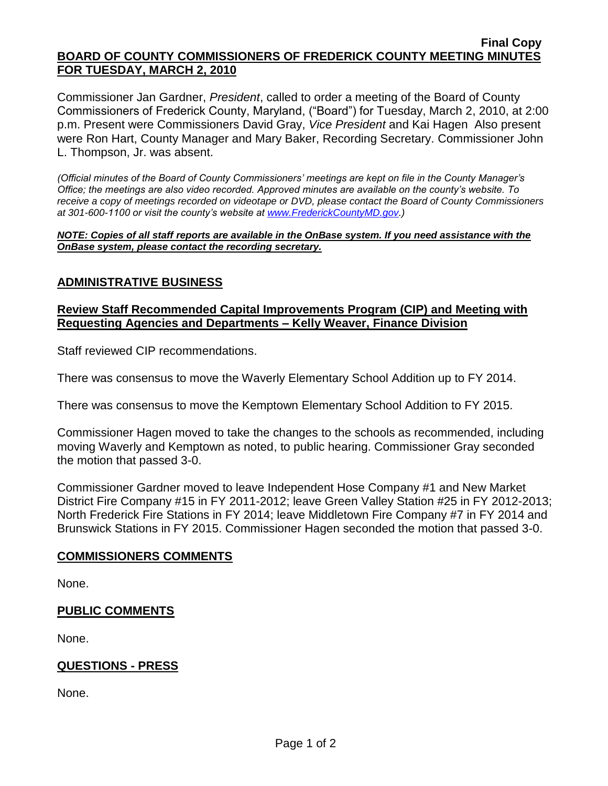#### **Final Copy BOARD OF COUNTY COMMISSIONERS OF FREDERICK COUNTY MEETING MINUTES FOR TUESDAY, MARCH 2, 2010**

Commissioner Jan Gardner, *President*, called to order a meeting of the Board of County Commissioners of Frederick County, Maryland, ("Board") for Tuesday, March 2, 2010, at 2:00 p.m. Present were Commissioners David Gray, *Vice President* and Kai Hagen Also present were Ron Hart, County Manager and Mary Baker, Recording Secretary. Commissioner John L. Thompson, Jr. was absent.

*(Official minutes of the Board of County Commissioners' meetings are kept on file in the County Manager's Office; the meetings are also video recorded. Approved minutes are available on the county's website. To receive a copy of meetings recorded on videotape or DVD, please contact the Board of County Commissioners at 301-600-1100 or visit the county's website at [www.FrederickCountyMD.gov.](http://www.frederickcountymd.gov/))*

*NOTE: Copies of all staff reports are available in the OnBase system. If you need assistance with the OnBase system, please contact the recording secretary.*

# **ADMINISTRATIVE BUSINESS**

#### **Review Staff Recommended Capital Improvements Program (CIP) and Meeting with Requesting Agencies and Departments – Kelly Weaver, Finance Division**

Staff reviewed CIP recommendations.

There was consensus to move the Waverly Elementary School Addition up to FY 2014.

There was consensus to move the Kemptown Elementary School Addition to FY 2015.

Commissioner Hagen moved to take the changes to the schools as recommended, including moving Waverly and Kemptown as noted, to public hearing. Commissioner Gray seconded the motion that passed 3-0.

Commissioner Gardner moved to leave Independent Hose Company #1 and New Market District Fire Company #15 in FY 2011-2012; leave Green Valley Station #25 in FY 2012-2013; North Frederick Fire Stations in FY 2014; leave Middletown Fire Company #7 in FY 2014 and Brunswick Stations in FY 2015. Commissioner Hagen seconded the motion that passed 3-0.

# **COMMISSIONERS COMMENTS**

None.

### **PUBLIC COMMENTS**

None.

### **QUESTIONS - PRESS**

None.